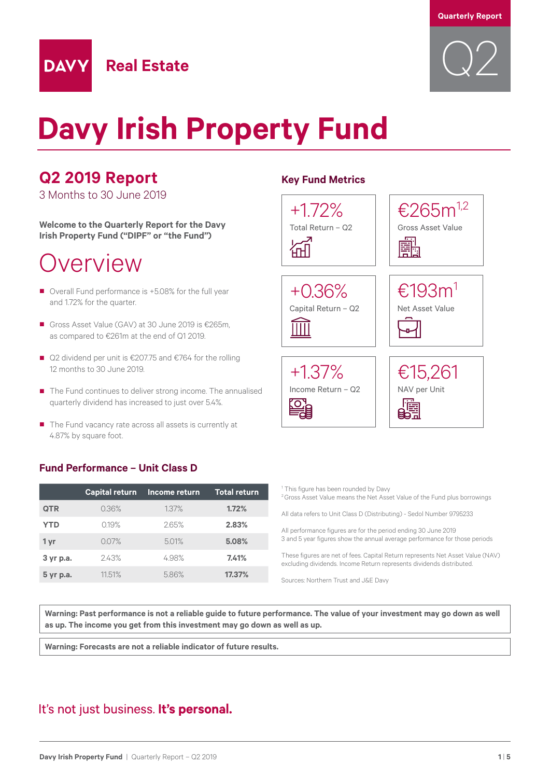

# **Davy Irish Property Fund**

## **Q2 2019 Report**

**DAVY** 

3 Months to 30 June 2019

**Welcome to the Quarterly Report for the Davy Irish Property Fund ("DIPF" or "the Fund")**

**Real Estate**

## Overview

- Overall Fund performance is +5.08% for the full year and 1.72% for the quarter.
- Gross Asset Value (GAV) at 30 June 2019 is €265m. as compared to €261m at the end of Q1 2019.
- Q2 dividend per unit is €207.75 and €764 for the rolling 12 months to 30 June 2019.
- The Fund continues to deliver strong income. The annualised quarterly dividend has increased to just over 5.4%.
- The Fund vacancy rate across all assets is currently at 4.87% by square foot.

### **Fund Performance – Unit Class D**

|            | <b>Capital return</b> | Income return | <b>Total return</b> |
|------------|-----------------------|---------------|---------------------|
| <b>QTR</b> | 0.36%                 | 1.37%         | 1.72%               |
| <b>YTD</b> | 0.19%                 | 2.65%         | 2.83%               |
| 1 yr       | 0.07%                 | 5.01%         | 5.08%               |
| 3 yr p.a.  | 243%                  | 4.98%         | 7.41%               |
| 5 yr p.a.  | 1151%                 | 5.86%         | 17.37%              |

### **Key Fund Metrics**



| <sup>1</sup> This figure has been rounded by Davy<br><sup>2</sup> Gross Asset Value means the Net Asset Value of the Fund plus borrowings              |
|--------------------------------------------------------------------------------------------------------------------------------------------------------|
| All data refers to Unit Class D (Distributing) - Sedol Number 9795233                                                                                  |
| All performance figures are for the period ending 30 June 2019<br>3 and 5 year figures show the annual average performance for those periods           |
| These figures are net of fees. Capital Return represents Net Asset Value (NAV)<br>excluding dividends. Income Return represents dividends distributed. |
| Sources: Northern Trust and J&E Davy                                                                                                                   |
|                                                                                                                                                        |

**Warning: Past performance is not a reliable guide to future performance. The value of your investment may go down as well as up. The income you get from this investment may go down as well as up.**

**Warning: Forecasts are not a reliable indicator of future results.**

### It's not just business. It's personal.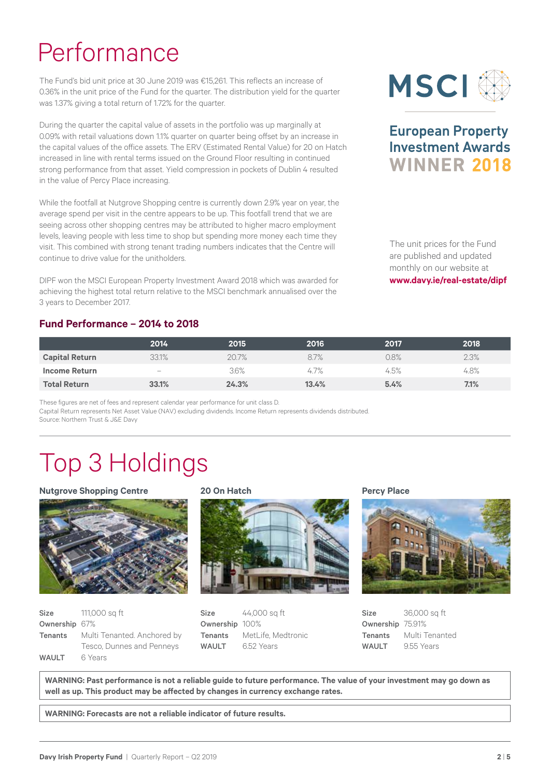# Performance

The Fund's bid unit price at 30 June 2019 was €15,261. This reflects an increase of 0.36% in the unit price of the Fund for the quarter. The distribution yield for the quarter was 1.37% giving a total return of 1.72% for the quarter.

During the quarter the capital value of assets in the portfolio was up marginally at 0.09% with retail valuations down 1.1% quarter on quarter being offset by an increase in the capital values of the office assets. The ERV (Estimated Rental Value) for 20 on Hatch increased in line with rental terms issued on the Ground Floor resulting in continued strong performance from that asset. Yield compression in pockets of Dublin 4 resulted in the value of Percy Place increasing.

While the footfall at Nutgrove Shopping centre is currently down 2.9% year on year, the average spend per visit in the centre appears to be up. This footfall trend that we are seeing across other shopping centres may be attributed to higher macro employment levels, leaving people with less time to shop but spending more money each time they visit. This combined with strong tenant trading numbers indicates that the Centre will continue to drive value for the unitholders.

DIPF won the MSCI European Property Investment Award 2018 which was awarded for achieving the highest total return relative to the MSCI benchmark annualised over the 3 years to December 2017.

### **Fund Performance – 2014 to 2018**

| <b>MSCI</b> |  |
|-------------|--|
|-------------|--|

### **European Property Investment Awards WINNER 2018**

The unit prices for the Fund are published and updated monthly on our website at **www.davy.ie/real-estate/dipf**

|                       | 2014              | 2015  | 2016  | 2017 | 2018 |
|-----------------------|-------------------|-------|-------|------|------|
| <b>Capital Return</b> | 33.1%             | 20.7% | 8.7%  | 0.8% | 2.3% |
| Income Return         | $\qquad \qquad -$ | 3.6%  | 4.7%  | 4.5% | 4.8% |
| <b>Total Return</b>   | 33.1%             | 24.3% | 13.4% | 5.4% | 7.1% |

These figures are net of fees and represent calendar year performance for unit class D. Capital Return represents Net Asset Value (NAV) excluding dividends. Income Return represents dividends distributed. Source: Northern Trust & J&E Davy

# Top 3 Holdings

#### **Nutgrove Shopping Centre**



| <b>Size</b>   | 111,000 sq ft               |  |
|---------------|-----------------------------|--|
| Ownership 67% |                             |  |
| Tenants       | Multi Tenanted. Anchored by |  |
|               | Tesco, Dunnes and Penneys   |  |
| <b>WAULT</b>  | 6 Years                     |  |

### **20 On Hatch**



**Size** 44,000 sq ft Ownership 100% Tenants MetLife, Medtronic WAULT 6.52 Years

**Percy Place**



**Size** 36,000 sq ft Ownership 75.91% Tenants Multi Tenanted WAULT 9.55 Years

**WARNING: Past performance is not a reliable guide to future performance. The value of your investment may go down as well as up. This product may be affected by changes in currency exchange rates.**

**WARNING: Forecasts are not a reliable indicator of future results.**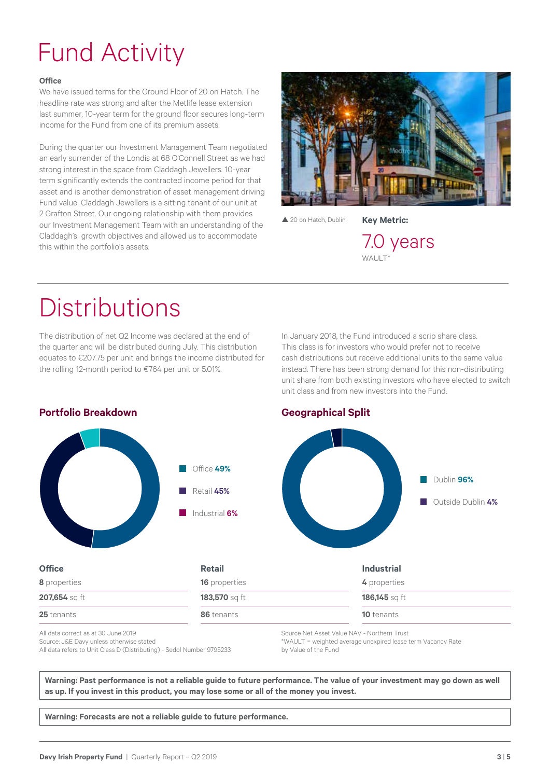# Fund Activity

#### **Office**

We have issued terms for the Ground Floor of 20 on Hatch. The headline rate was strong and after the Metlife lease extension last summer, 10-year term for the ground floor secures long-term income for the Fund from one of its premium assets.

During the quarter our Investment Management Team negotiated an early surrender of the Londis at 68 O'Connell Street as we had strong interest in the space from Claddagh Jewellers. 10-year term significantly extends the contracted income period for that asset and is another demonstration of asset management driving Fund value. Claddagh Jewellers is a sitting tenant of our unit at 2 Grafton Street. Our ongoing relationship with them provides our Investment Management Team with an understanding of the Claddagh's growth objectives and allowed us to accommodate this within the portfolio's assets.



▲ 20 on Hatch, Dublin

**Key Metric:** 7.0 years

WAULT\*

## **Distributions**

The distribution of net Q2 Income was declared at the end of the quarter and will be distributed during July. This distribution equates to €207.75 per unit and brings the income distributed for the rolling 12-month period to €764 per unit or 5.01%.

In January 2018, the Fund introduced a scrip share class. This class is for investors who would prefer not to receive cash distributions but receive additional units to the same value instead. There has been strong demand for this non-distributing unit share from both existing investors who have elected to switch unit class and from new investors into the Fund.



All data correct as at 30 June 2019 Source: J&E Davy unless otherwise stated All data refers to Unit Class D (Distributing) - Sedol Number 9795233

Source Net Asset Value NAV - Northern Trust \*WAULT = weighted average unexpired lease term Vacancy Rate by Value of the Fund

**Warning: Past performance is not a reliable guide to future performance. The value of your investment may go down as well as up. If you invest in this product, you may lose some or all of the money you invest.**

**Warning: Forecasts are not a reliable guide to future performance.**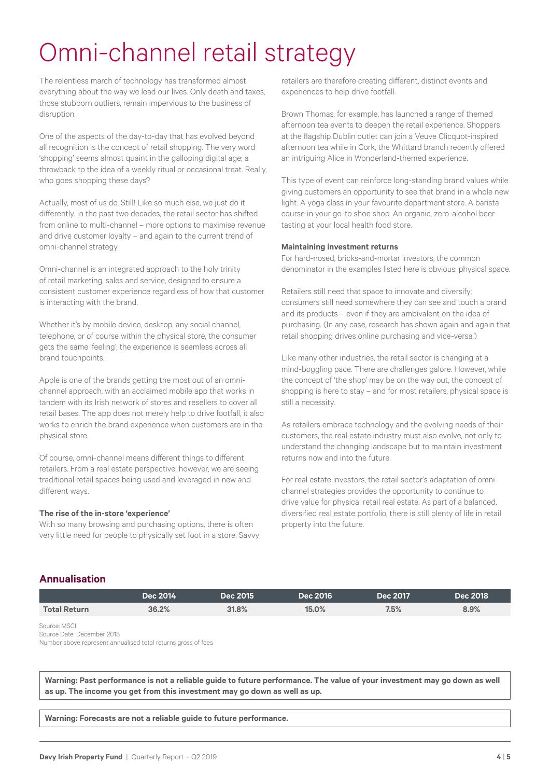# Omni-channel retail strategy

The relentless march of technology has transformed almost everything about the way we lead our lives. Only death and taxes, those stubborn outliers, remain impervious to the business of disruption.

One of the aspects of the day-to-day that has evolved beyond all recognition is the concept of retail shopping. The very word 'shopping' seems almost quaint in the galloping digital age; a throwback to the idea of a weekly ritual or occasional treat. Really, who goes shopping these days?

Actually, most of us do. Still! Like so much else, we just do it differently. In the past two decades, the retail sector has shifted from online to multi-channel – more options to maximise revenue and drive customer loyalty – and again to the current trend of omni-channel strategy.

Omni-channel is an integrated approach to the holy trinity of retail marketing, sales and service, designed to ensure a consistent customer experience regardless of how that customer is interacting with the brand.

Whether it's by mobile device, desktop, any social channel, telephone, or of course within the physical store, the consumer gets the same 'feeling'; the experience is seamless across all brand touchpoints.

Apple is one of the brands getting the most out of an omnichannel approach, with an acclaimed mobile app that works in tandem with its Irish network of stores and resellers to cover all retail bases. The app does not merely help to drive footfall, it also works to enrich the brand experience when customers are in the physical store.

Of course, omni-channel means different things to different retailers. From a real estate perspective, however, we are seeing traditional retail spaces being used and leveraged in new and different ways.

#### **The rise of the in-store 'experience'**

With so many browsing and purchasing options, there is often very little need for people to physically set foot in a store. Savvy

retailers are therefore creating different, distinct events and experiences to help drive footfall.

Brown Thomas, for example, has launched a range of themed afternoon tea events to deepen the retail experience. Shoppers at the flagship Dublin outlet can join a Veuve Clicquot-inspired afternoon tea while in Cork, the Whittard branch recently offered an intriguing Alice in Wonderland-themed experience.

This type of event can reinforce long-standing brand values while giving customers an opportunity to see that brand in a whole new light. A yoga class in your favourite department store. A barista course in your go-to shoe shop. An organic, zero-alcohol beer tasting at your local health food store.

#### **Maintaining investment returns**

For hard-nosed, bricks-and-mortar investors, the common denominator in the examples listed here is obvious: physical space.

Retailers still need that space to innovate and diversify; consumers still need somewhere they can see and touch a brand and its products – even if they are ambivalent on the idea of purchasing. (In any case, research has shown again and again that retail shopping drives online purchasing and vice-versa.)

Like many other industries, the retail sector is changing at a mind-boggling pace. There are challenges galore. However, while the concept of 'the shop' may be on the way out, the concept of shopping is here to stay – and for most retailers, physical space is still a necessity.

As retailers embrace technology and the evolving needs of their customers, the real estate industry must also evolve, not only to understand the changing landscape but to maintain investment returns now and into the future.

For real estate investors, the retail sector's adaptation of omnichannel strategies provides the opportunity to continue to drive value for physical retail real estate. As part of a balanced, diversified real estate portfolio, there is still plenty of life in retail property into the future.

### **Annualisation**

|                     | Dec 2014 | Dec 2015 | <b>Dec 2016</b> | Dec 2017 | Dec 2018 |
|---------------------|----------|----------|-----------------|----------|----------|
| <b>Total Return</b> | 36.2%    | 31.8%    | 15.0%           | 7.5%     | 8.9%     |
| Source: MSCI        |          |          |                 |          |          |

Source Date: December 2018

Number above represent annualised total returns gross of fees

**Warning: Past performance is not a reliable guide to future performance. The value of your investment may go down as well as up. The income you get from this investment may go down as well as up.**

**Warning: Forecasts are not a reliable guide to future performance.**